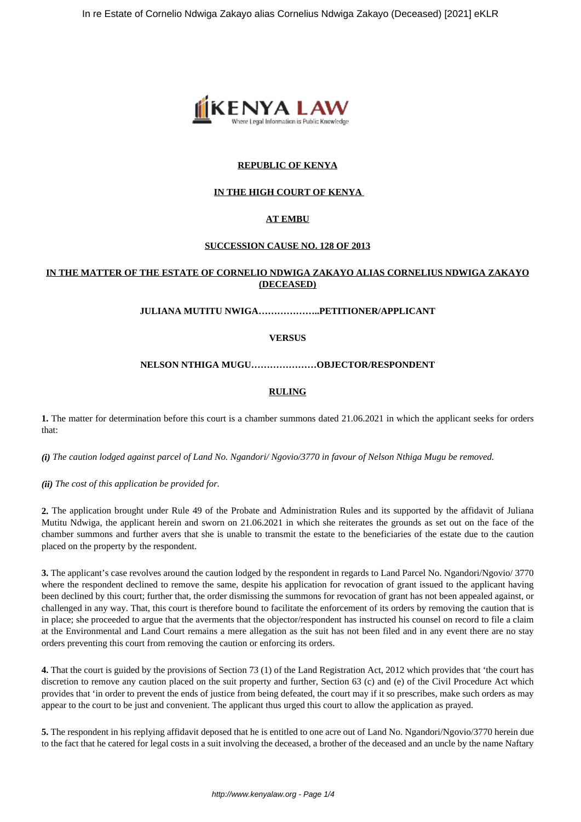

## **REPUBLIC OF KENYA**

## **IN THE HIGH COURT OF KENYA**

## **AT EMBU**

## **SUCCESSION CAUSE NO. 128 OF 2013**

## **IN THE MATTER OF THE ESTATE OF CORNELIO NDWIGA ZAKAYO ALIAS CORNELIUS NDWIGA ZAKAYO (DECEASED)**

#### **JULIANA MUTITU NWIGA………………..PETITIONER/APPLICANT**

#### **VERSUS**

#### **NELSON NTHIGA MUGU…………………OBJECTOR/RESPONDENT**

#### **RULING**

**1.** The matter for determination before this court is a chamber summons dated 21.06.2021 in which the applicant seeks for orders that:

*(i) The caution lodged against parcel of Land No. Ngandori/ Ngovio/3770 in favour of Nelson Nthiga Mugu be removed.*

*(ii) The cost of this application be provided for.*

**2.** The application brought under Rule 49 of the Probate and Administration Rules and its supported by the affidavit of Juliana Mutitu Ndwiga, the applicant herein and sworn on 21.06.2021 in which she reiterates the grounds as set out on the face of the chamber summons and further avers that she is unable to transmit the estate to the beneficiaries of the estate due to the caution placed on the property by the respondent.

**3.** The applicant's case revolves around the caution lodged by the respondent in regards to Land Parcel No. Ngandori/Ngovio/ 3770 where the respondent declined to remove the same, despite his application for revocation of grant issued to the applicant having been declined by this court; further that, the order dismissing the summons for revocation of grant has not been appealed against, or challenged in any way. That, this court is therefore bound to facilitate the enforcement of its orders by removing the caution that is in place; she proceeded to argue that the averments that the objector/respondent has instructed his counsel on record to file a claim at the Environmental and Land Court remains a mere allegation as the suit has not been filed and in any event there are no stay orders preventing this court from removing the caution or enforcing its orders.

**4.** That the court is guided by the provisions of Section 73 (1) of the Land Registration Act, 2012 which provides that 'the court has discretion to remove any caution placed on the suit property and further, Section 63 (c) and (e) of the Civil Procedure Act which provides that 'in order to prevent the ends of justice from being defeated, the court may if it so prescribes, make such orders as may appear to the court to be just and convenient. The applicant thus urged this court to allow the application as prayed.

**5.** The respondent in his replying affidavit deposed that he is entitled to one acre out of Land No. Ngandori/Ngovio/3770 herein due to the fact that he catered for legal costs in a suit involving the deceased, a brother of the deceased and an uncle by the name Naftary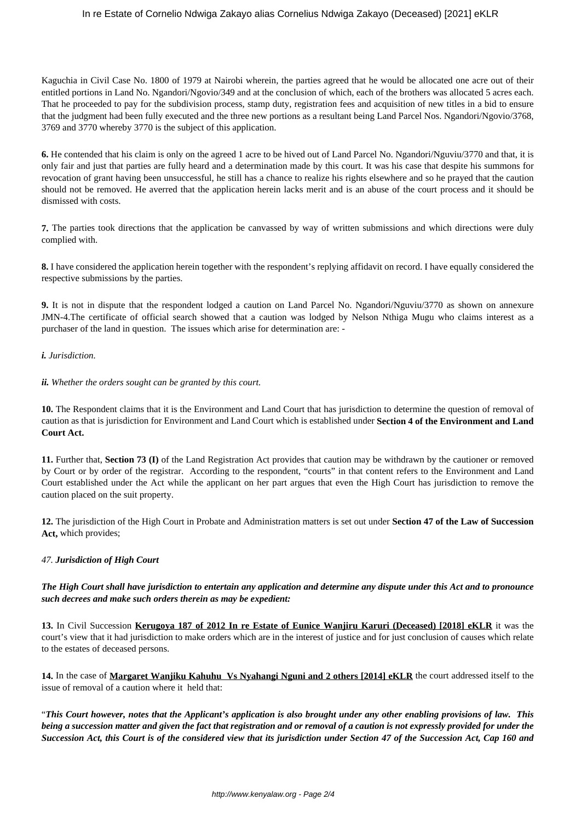## In re Estate of Cornelio Ndwiga Zakayo alias Cornelius Ndwiga Zakayo (Deceased) [2021] eKLR

Kaguchia in Civil Case No. 1800 of 1979 at Nairobi wherein, the parties agreed that he would be allocated one acre out of their entitled portions in Land No. Ngandori/Ngovio/349 and at the conclusion of which, each of the brothers was allocated 5 acres each. That he proceeded to pay for the subdivision process, stamp duty, registration fees and acquisition of new titles in a bid to ensure that the judgment had been fully executed and the three new portions as a resultant being Land Parcel Nos. Ngandori/Ngovio/3768, 3769 and 3770 whereby 3770 is the subject of this application.

**6.** He contended that his claim is only on the agreed 1 acre to be hived out of Land Parcel No. Ngandori/Nguviu/3770 and that, it is only fair and just that parties are fully heard and a determination made by this court. It was his case that despite his summons for revocation of grant having been unsuccessful, he still has a chance to realize his rights elsewhere and so he prayed that the caution should not be removed. He averred that the application herein lacks merit and is an abuse of the court process and it should be dismissed with costs.

**7.** The parties took directions that the application be canvassed by way of written submissions and which directions were duly complied with.

**8.** I have considered the application herein together with the respondent's replying affidavit on record. I have equally considered the respective submissions by the parties.

**9.** It is not in dispute that the respondent lodged a caution on Land Parcel No. Ngandori/Nguviu/3770 as shown on annexure JMN-4.The certificate of official search showed that a caution was lodged by Nelson Nthiga Mugu who claims interest as a purchaser of the land in question. The issues which arise for determination are: -

## *i. Jurisdiction.*

## *ii. Whether the orders sought can be granted by this court.*

**10.** The Respondent claims that it is the Environment and Land Court that has jurisdiction to determine the question of removal of caution as that is jurisdiction for Environment and Land Court which is established under **Section 4 of the Environment and Land Court Act.** 

**11.** Further that, **Section 73 (I)** of the Land Registration Act provides that caution may be withdrawn by the cautioner or removed by Court or by order of the registrar. According to the respondent, "courts" in that content refers to the Environment and Land Court established under the Act while the applicant on her part argues that even the High Court has jurisdiction to remove the caution placed on the suit property.

**12.** The jurisdiction of the High Court in Probate and Administration matters is set out under **Section 47 of the Law of Succession Act,** which provides;

# *47. Jurisdiction of High Court*

*The High Court shall have jurisdiction to entertain any application and determine any dispute under this Act and to pronounce such decrees and make such orders therein as may be expedient:*

**13.** In Civil Succession **Kerugoya 187 of 2012 In re Estate of Eunice Wanjiru Karuri (Deceased) [2018] eKLR** it was the court's view that it had jurisdiction to make orders which are in the interest of justice and for just conclusion of causes which relate to the estates of deceased persons.

**14.** In the case of **Margaret Wanjiku Kahuhu Vs Nyahangi Nguni and 2 others [2014] eKLR** the court addressed itself to the issue of removal of a caution where it held that:

"*This Court however, notes that the Applicant's application is also brought under any other enabling provisions of law. This being a succession matter and given the fact that registration and or removal of a caution is not expressly provided for under the Succession Act, this Court is of the considered view that its jurisdiction under Section 47 of the Succession Act, Cap 160 and*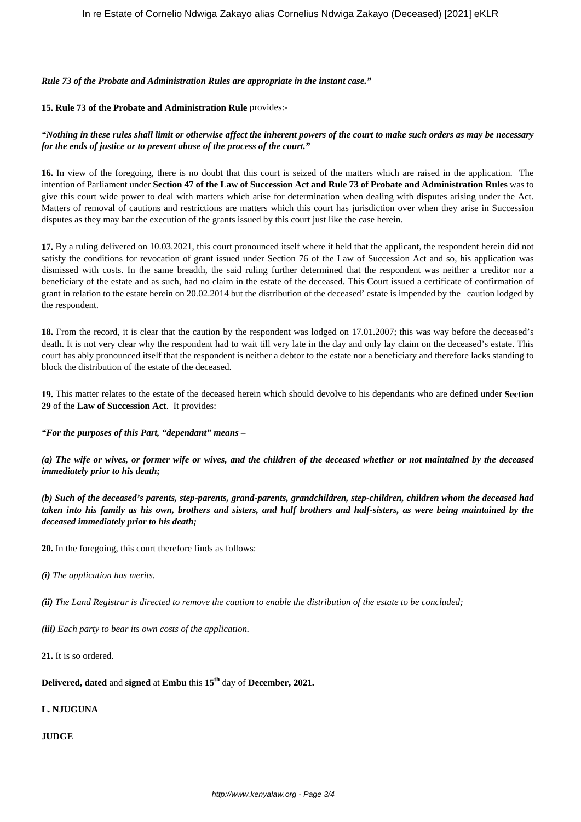*Rule 73 of the Probate and Administration Rules are appropriate in the instant case."*

#### **15. Rule 73 of the Probate and Administration Rule** provides:-

*"Nothing in these rules shall limit or otherwise affect the inherent powers of the court to make such orders as may be necessary for the ends of justice or to prevent abuse of the process of the court."*

**16.** In view of the foregoing, there is no doubt that this court is seized of the matters which are raised in the application. The intention of Parliament under **Section 47 of the Law of Succession Act and Rule 73 of Probate and Administration Rules** was to give this court wide power to deal with matters which arise for determination when dealing with disputes arising under the Act. Matters of removal of cautions and restrictions are matters which this court has jurisdiction over when they arise in Succession disputes as they may bar the execution of the grants issued by this court just like the case herein.

**17.** By a ruling delivered on 10.03.2021, this court pronounced itself where it held that the applicant, the respondent herein did not satisfy the conditions for revocation of grant issued under Section 76 of the Law of Succession Act and so, his application was dismissed with costs. In the same breadth, the said ruling further determined that the respondent was neither a creditor nor a beneficiary of the estate and as such, had no claim in the estate of the deceased. This Court issued a certificate of confirmation of grant in relation to the estate herein on 20.02.2014 but the distribution of the deceased' estate is impended by the caution lodged by the respondent.

18. From the record, it is clear that the caution by the respondent was lodged on 17.01.2007; this was way before the deceased's death. It is not very clear why the respondent had to wait till very late in the day and only lay claim on the deceased's estate. This court has ably pronounced itself that the respondent is neither a debtor to the estate nor a beneficiary and therefore lacks standing to block the distribution of the estate of the deceased.

**19.** This matter relates to the estate of the deceased herein which should devolve to his dependants who are defined under **Section 29** of the **Law of Succession Act**. It provides:

*"For the purposes of this Part, "dependant" means –*

*(a) The wife or wives, or former wife or wives, and the children of the deceased whether or not maintained by the deceased immediately prior to his death;*

*(b) Such of the deceased's parents, step-parents, grand-parents, grandchildren, step-children, children whom the deceased had taken into his family as his own, brothers and sisters, and half brothers and half-sisters, as were being maintained by the deceased immediately prior to his death;*

**20.** In the foregoing, this court therefore finds as follows:

*(i) The application has merits.*

*(ii) The Land Registrar is directed to remove the caution to enable the distribution of the estate to be concluded;*

*(iii) Each party to bear its own costs of the application.*

**21.** It is so ordered.

**Delivered, dated** and **signed** at **Embu** this **15th** day of **December, 2021.**

**L. NJUGUNA**

**JUDGE**